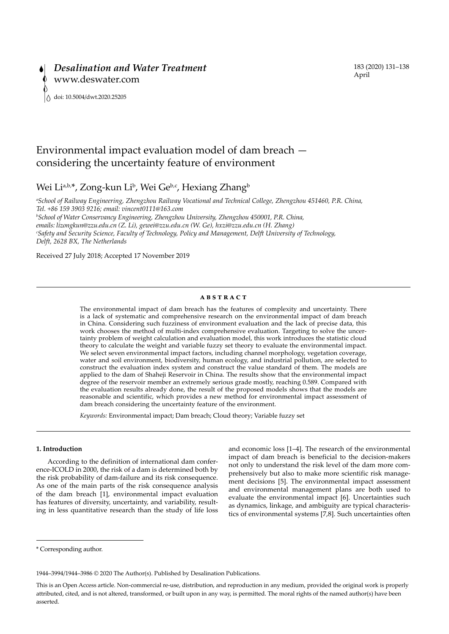# Environmental impact evaluation model of dam breach considering the uncertainty feature of environment

## Wei Li<sup>a,b,\*</sup>, Zong-kun Li<sup>b</sup>, Wei Ge<sup>b,c</sup>, Hexiang Zhang<sup>b</sup>

*a School of Railway Engineering, Zhengzhou Railway Vocational and Technical College, Zhengzhou 451460, P.R. China, Tel. +86 159 3903 9216; email: vincent0111@163.com*

*b School of Water Conservancy Engineering, Zhengzhou University, Zhengzhou 450001, P.R. China, emails: lizongkun@zzu.edu.cn (Z. Li), gewei@zzu.edu.cn (W. Ge), hxzi@zzu.edu.cn (H. Zhang) c Safety and Security Science, Faculty of Technology, Policy and Management, Delft University of Technology, Delft, 2628 BX, The Netherlands*

Received 27 July 2018; Accepted 17 November 2019

#### **ABSTRACT**

The environmental impact of dam breach has the features of complexity and uncertainty. There is a lack of systematic and comprehensive research on the environmental impact of dam breach in China. Considering such fuzziness of environment evaluation and the lack of precise data, this work chooses the method of multi-index comprehensive evaluation. Targeting to solve the uncertainty problem of weight calculation and evaluation model, this work introduces the statistic cloud theory to calculate the weight and variable fuzzy set theory to evaluate the environmental impact. We select seven environmental impact factors, including channel morphology, vegetation coverage, water and soil environment, biodiversity, human ecology, and industrial pollution, are selected to construct the evaluation index system and construct the value standard of them. The models are applied to the dam of Shaheji Reservoir in China. The results show that the environmental impact degree of the reservoir member an extremely serious grade mostly, reaching 0.589. Compared with the evaluation results already done, the result of the proposed models shows that the models are reasonable and scientific, which provides a new method for environmental impact assessment of dam breach considering the uncertainty feature of the environment.

*Keywords:* Environmental impact; Dam breach; Cloud theory; Variable fuzzy set

## **1. Introduction**

According to the definition of international dam conference-ICOLD in 2000, the risk of a dam is determined both by the risk probability of dam-failure and its risk consequence. As one of the main parts of the risk consequence analysis of the dam breach [1], environmental impact evaluation has features of diversity, uncertainty, and variability, resulting in less quantitative research than the study of life loss

and economic loss [1–4]. The research of the environmental impact of dam breach is beneficial to the decision-makers not only to understand the risk level of the dam more comprehensively but also to make more scientific risk management decisions [5]. The environmental impact assessment and environmental management plans are both used to evaluate the environmental impact [6]. Uncertainties such as dynamics, linkage, and ambiguity are typical characteristics of environmental systems [7,8]. Such uncertainties often

1944–3994/1944–3986 © 2020 The Author(s). Published by Desalination Publications.

<sup>\*</sup> Corresponding author.

This is an Open Access article. Non-commercial re-use, distribution, and reproduction in any medium, provided the original work is properly attributed, cited, and is not altered, transformed, or built upon in any way, is permitted. The moral rights of the named author(s) have been asserted.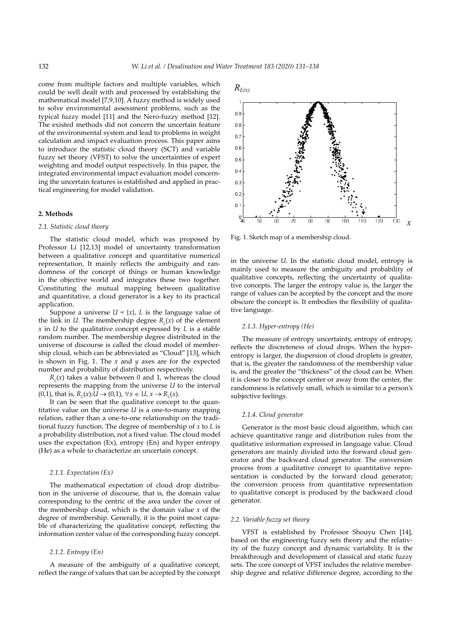come from multiple factors and multiple variables, which could be well dealt with and processed by establishing the mathematical model [7,9,10]. A fuzzy method is widely used to solve environmental assessment problems, such as the typical fuzzy model [11] and the Nero-fuzzy method [12]. The existed methods did not concern the uncertain feature of the environmental system and lead to problems in weight calculation and impact evaluation process. This paper aims to introduce the statistic cloud theory (SCT) and variable fuzzy set theory (VFST) to solve the uncertainties of expert weighting and model output respectively. In this paper, the integrated environmental impact evaluation model concerning the uncertain features is established and applied in practical engineering for model validation.

## **2. Methods**

## *2.1. Statistic cloud theory*

The statistic cloud model, which was proposed by Professor Li [12,13] model of uncertainty transformation between a qualitative concept and quantitative numerical representation. It mainly reflects the ambiguity and randomness of the concept of things or human knowledge in the objective world and integrates these two together. Constituting the mutual mapping between qualitative and quantitative, a cloud generator is a key to its practical application.

Suppose a universe  $U = \{x\}$ ,  $L$  is the language value of the link in *U*. The membership degree  $R_L(x)$  of the element *x* in *U* to the qualitative concept expressed by *L* is a stable random number. The membership degree distributed in the universe of discourse is called the cloud model of membership cloud, which can be abbreviated as "Cloud" [13], which is shown in Fig. 1. The *x* and *y* axes are for the expected number and probability of distribution respectively.

 $R<sub>L</sub>(x)$  takes a value between 0 and 1, whereas the cloud represents the mapping from the universe *U* to the interval (0,1), that is,  $R_L(x)$ :*U* → (0,1),  $\forall x \in U$ ,  $x \to R_L(x)$ .

It can be seen that the qualitative concept to the quantitative value on the universe *U* is a one-to-many mapping relation, rather than a one-to-one relationship on the traditional fuzzy function. The degree of membership of *x* to *L* is a probability distribution, not a fixed value. The cloud model uses the expectation (Ex), entropy (En) and hyper entropy (He) as a whole to characterize an uncertain concept.

## *2.1.1. Expectation (Ex)*

The mathematical expectation of cloud drop distribution in the universe of discourse, that is, the domain value corresponding to the centric of the area under the cover of the membership cloud, which is the domain value *x* of the degree of membership. Generally, it is the point most capable of characterizing the qualitative concept, reflecting the information center value of the corresponding fuzzy concept.

## *2.1.2. Entropy (En)*

A measure of the ambiguity of a qualitative concept, reflect the range of values that can be accepted by the concept



Fig. 1. Sketch map of a membership cloud.

in the universe *U*. In the statistic cloud model, entropy is mainly used to measure the ambiguity and probability of qualitative concepts, reflecting the uncertainty of qualitative concepts. The larger the entropy value is, the larger the range of values can be accepted by the concept and the more obscure the concept is. It embodies the flexibility of qualitative language.

#### *2.1.3. Hyper-entropy (He)*

The measure of entropy uncertainty, entropy of entropy, reflects the discreteness of cloud drops. When the hyperentropy is larger, the dispersion of cloud droplets is greater, that is, the greater the randomness of the membership value is, and the greater the "thickness" of the cloud can be. When it is closer to the concept center or away from the center, the randomness is relatively small, which is similar to a person's subjective feelings.

## *2.1.4. Cloud generator*

Generator is the most basic cloud algorithm, which can achieve quantitative range and distribution rules from the qualitative information expressed in language value. Cloud generators are mainly divided into the forward cloud generator and the backward cloud generator. The conversion process from a qualitative concept to quantitative representation is conducted by the forward cloud generator; the conversion process from quantitative representation to qualitative concept is produced by the backward cloud generator.

### *2.2. Variable fuzzy set theory*

VFST is established by Professor Shouyu Chen [14], based on the engineering fuzzy sets theory and the relativity of the fuzzy concept and dynamic variability. It is the breakthrough and development of classical and static fuzzy sets. The core concept of VFST includes the relative membership degree and relative difference degree, according to the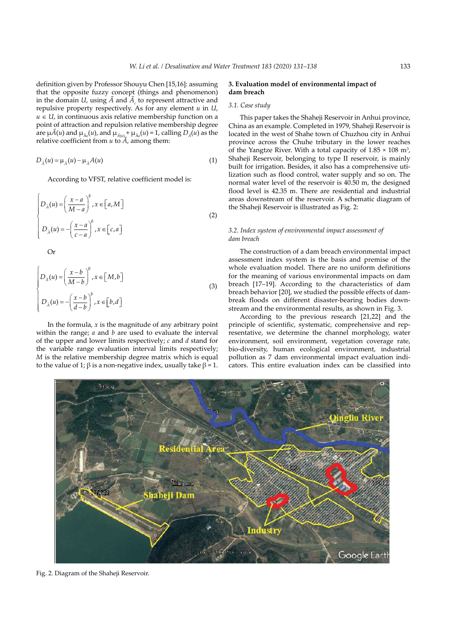definition given by Professor Shouyu Chen [15,16]: assuming that the opposite fuzzy concept (things and phenomenon) in the domain *U*, using  $\ddot{A}$  and  $\ddot{A}_c$  to represent attractive and repulsive property respectively. As for any element *u* in *U*,  $u \in U$ , in continuous axis relative membership function on a point of attraction and repulsion relative membership degree are  $\mu \tilde{A}(u)$  and  $\mu_{\tilde{A}(u)}$ , and  $\mu_{\tilde{A}(u)} + \mu_{\tilde{A}(u)} = 1$ , calling  $D_{\tilde{A}}(u)$  as the relative coefficient from *u* to *Ã*, among them:

$$
D_{\tilde{A}}(u) = \mu_{\tilde{A}}(u) - \mu_{\tilde{A}}A(u) \tag{1}
$$

According to VFST, relative coefficient model is:

$$
\begin{cases}\nD_{\lambda}(u) = \left(\frac{x-a}{M-a}\right)^{\beta}, x \in [a, M] \\
D_{\lambda}(u) = -\left(\frac{x-a}{c-a}\right)^{\beta}, x \in [c, a]\n\end{cases}
$$
\n(2)

Or

$$
\begin{cases}\nD_{\lambda}(u) = \left(\frac{x-b}{M-b}\right)^{\beta}, x \in [M,b] \\
D_{\lambda}(u) = -\left(\frac{x-b}{d-b}\right)^{\beta}, x \in [b,d]\n\end{cases}
$$
\n(3)

In the formula,  $x$  is the magnitude of any arbitrary point within the range; *a* and *b* are used to evaluate the interval of the upper and lower limits respectively; *c* and *d* stand for the variable range evaluation interval limits respectively; *M* is the relative membership degree matrix which is equal to the value of 1; β is a non-negative index, usually take  $β = 1$ .

## **3. Evaluation model of environmental impact of dam breach**

## *3.1. Case study*

This paper takes the Shaheji Reservoir in Anhui province, China as an example. Completed in 1979, Shaheji Reservoir is located in the west of Shahe town of Chuzhou city in Anhui province across the Chuhe tributary in the lower reaches of the Yangtze River. With a total capacity of  $1.85 \times 108$  m<sup>3</sup>, Shaheji Reservoir, belonging to type II reservoir, is mainly built for irrigation. Besides, it also has a comprehensive utilization such as flood control, water supply and so on. The normal water level of the reservoir is 40.50 m, the designed flood level is 42.35 m. There are residential and industrial areas downstream of the reservoir. A schematic diagram of the Shaheji Reservoir is illustrated as Fig. 2:

## *3.2. Index system of environmental impact assessment of dam breach*

The construction of a dam breach environmental impact assessment index system is the basis and premise of the whole evaluation model. There are no uniform definitions for the meaning of various environmental impacts on dam breach [17–19]. According to the characteristics of dam breach behavior [20], we studied the possible effects of dambreak floods on different disaster-bearing bodies downstream and the environmental results, as shown in Fig. 3.

According to the previous research [21,22] and the principle of scientific, systematic, comprehensive and representative, we determine the channel morphology, water environment, soil environment, vegetation coverage rate, bio-diversity, human ecological environment, industrial pollution as 7 dam environmental impact evaluation indicators. This entire evaluation index can be classified into



Fig. 2. Diagram of the Shaheji Reservoir.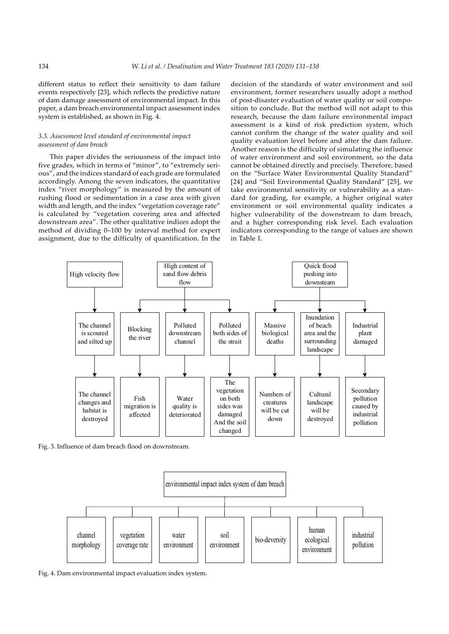different status to reflect their sensitivity to dam failure events respectively [23], which reflects the predictive nature of dam damage assessment of environmental impact. In this paper, a dam breach environmental impact assessment index system is established, as shown in Fig. 4.

## *3.3. Assessment level standard of environmental impact assessment of dam breach*

This paper divides the seriousness of the impact into five grades, which in terms of "minor", to "extremely serious", and the indices standard of each grade are formulated accordingly. Among the seven indicators, the quantitative index "river morphology" is measured by the amount of rushing flood or sedimentation in a case area with given width and length, and the index "vegetation coverage rate" is calculated by "vegetation covering area and affected downstream area". The other qualitative indices adopt the method of dividing 0–100 by interval method for expert assignment, due to the difficulty of quantification. In the decision of the standards of water environment and soil environment, former researchers usually adopt a method of post-disaster evaluation of water quality or soil composition to conclude. But the method will not adapt to this research, because the dam failure environmental impact assessment is a kind of risk prediction system, which cannot confirm the change of the water quality and soil quality evaluation level before and after the dam failure. Another reason is the difficulty of simulating the influence of water environment and soil environment, so the data cannot be obtained directly and precisely. Therefore, based on the "Surface Water Environmental Quality Standard" [24] and "Soil Environmental Quality Standard" [25], we take environmental sensitivity or vulnerability as a standard for grading, for example, a higher original water environment or soil environmental quality indicates a higher vulnerability of the downstream to dam breach, and a higher corresponding risk level. Each evaluation indicators corresponding to the range of values are shown in Table 1.



Fig. 3. Influence of dam breach flood on downstream.



Fig. 4. Dam environmental impact evaluation index system.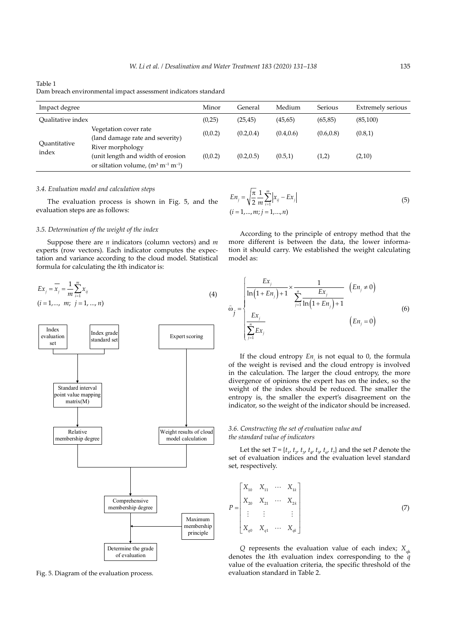## Table 1

Dam breach environmental impact assessment indicators standard

| Impact degree         |                                                                                 | Minor   | General    | Medium     | Serious    | Extremely serious |
|-----------------------|---------------------------------------------------------------------------------|---------|------------|------------|------------|-------------------|
| Oualitative index     |                                                                                 | (0,25)  | (25, 45)   | (45, 65)   | (65, 85)   | (85,100)          |
| Quantitative<br>index | Vegetation cover rate<br>(land damage rate and severity)<br>River morphology    | (0,0.2) | (0.2, 0.4) | (0.4, 0.6) | (0.6, 0.8) | (0.8, 1)          |
|                       | (unit length and width of erosion<br>or siltation volume, $(m^3 m^{-1} m^{-1})$ | (0,0.2) | (0.2, 0.5) | (0.5,1)    | (1,2)      | (2,10)            |

## *3.4. Evaluation model and calculation steps*

The evaluation process is shown in Fig. 5, and the evaluation steps are as follows:

### *3.5. Determination of the weight of the index*

Suppose there are *n* indicators (column vectors) and *m* experts (row vectors). Each indicator computes the expectation and variance according to the cloud model. Statistical formula for calculating the *k*th indicator is:

$$
Ex_{j} = \overline{x_{j}} = \frac{1}{m} \sum_{i=1}^{m} x_{ij}
$$
  
(i = 1,..., m; j = 1, ..., n) (4)



Fig. 5. Diagram of the evaluation process.

$$
En_j = \sqrt{\frac{\pi}{2}} \frac{1}{m} \sum_{i=1}^{m} |x_{ij} - Ex_j|
$$
  
(i = 1,..., m; j = 1,..., n) (5)

According to the principle of entropy method that the more different is between the data, the lower information it should carry. We established the weight calculating model as:

$$
\hat{\omega}_{j} = \begin{cases}\n\frac{Ex_{j}}{\ln(1 + En_{j}) + 1} \times \frac{1}{\sum_{j=1}^{n} \frac{Ex_{j}}{\ln(1 + En_{j}) + 1}} & (En_{j} \neq 0) \\
\frac{Ex_{j}}{\sum_{j=1}^{n} Ex_{j}} & (En_{j} = 0)\n\end{cases}
$$
\n(6)

If the cloud entropy  $En_j$  is not equal to 0, the formula of the weight is revised and the cloud entropy is involved in the calculation. The larger the cloud entropy, the more divergence of opinions the expert has on the index, so the weight of the index should be reduced. The smaller the entropy is, the smaller the expert's disagreement on the indicator, so the weight of the indicator should be increased.

## *3.6. Constructing the set of evaluation value and the standard value of indicators*

Let the set  $T = \{t_1, t_2, t_3, t_4, t_5, t_6, t_7\}$  and the set *P* denote the set of evaluation indices and the evaluation level standard set, respectively.

$$
P = \begin{bmatrix} X_{10} & X_{11} & \cdots & X_{1k} \\ X_{20} & X_{21} & \cdots & X_{2k} \\ \vdots & \vdots & & \vdots \\ X_{q0} & X_{q1} & \cdots & X_{qk} \end{bmatrix}
$$
 (7)

*Q* represents the evaluation value of each index;  $X_{nk}$ denotes the *k*th evaluation index corresponding to the *q* value of the evaluation criteria, the specific threshold of the evaluation standard in Table 2.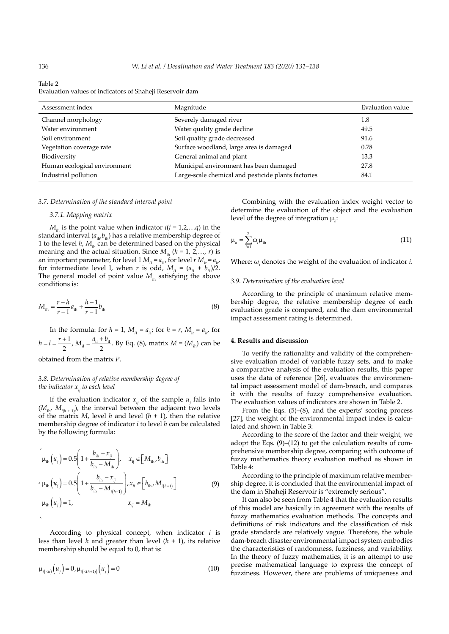Table 2

| Evaluation values of indicators of Shaheji Reservoir dam |  |
|----------------------------------------------------------|--|
|----------------------------------------------------------|--|

| Assessment index             | Magnitude                                           | Evaluation value |
|------------------------------|-----------------------------------------------------|------------------|
| Channel morphology           | Severely damaged river                              | 1.8              |
| Water environment            | Water quality grade decline                         | 49.5             |
| Soil environment             | Soil quality grade decreased                        | 91.6             |
| Vegetation coverage rate     | Surface woodland, large area is damaged             | 0.78             |
| Biodiversity                 | General animal and plant                            | 13.3             |
| Human ecological environment | Municipal environment has been damaged              | 27.8             |
| Industrial pollution         | Large-scale chemical and pesticide plants factories | 84.1             |

#### *3.7. Determination of the standard interval point*

## *3.7.1. Mapping matrix*

 $M<sub>th</sub>$  is the point value when indicator  $i(i = 1,2,...q)$  in the standard interval  $(a_{i},b_{i})$  has a relative membership degree of 1 to the level  $h$ ,  $M_{\text{th}}$  can be determined based on the physical meaning and the actual situation. Since  $M_{ik}$  ( $h = 1, 2,..., r$ ) is an important parameter, for level  $1 M_{i1} = a_{i1}$ , for level  $r M_{ir} = a_{ir}$ , for intermediate level *l*, when *r* is odd,  $M_{i1} = (a_{i1} + b_{i1})/2$ . The general model of point value  $M_{\text{th}}$  satisfying the above conditions is:

$$
M_{\rm ih} = \frac{r - h}{r - 1} a_{\rm ih} + \frac{h - 1}{r - 1} b_{\rm ih}
$$
 (8)

In the formula: for  $h = 1$ ,  $M_{i1} = a_{i1}$ ; for  $h = r$ ,  $M_{ir} = a_{ir'}$  for  $h = l = \frac{r+1}{2}$ ,  $M_{\rm ii} = \frac{a_{\rm ii} + b_{\rm ii}}{2}$ . By Eq. (8), matrix  $M = (M_{\rm ii})$  can be obtained from the matrix *P*.

## *3.8. Determination of relative membership degree of the indicator*  $x_{ij}$  to each level

If the evaluation indicator  $x_{ij}$  of the sample  $u_j$  falls into  $(M_{in}, M_{in+1})$ , the interval between the adjacent two levels of the matrix *M*, level *h* and level  $(h + 1)$ , then the relative membership degree of indicator *i* to level *h* can be calculated by the following formula:

$$
\begin{cases}\n\mu_{\text{ih}}\left(u_{j}\right) = 0.5\left(1 + \frac{b_{\text{ih}} - x_{ij}}{b_{\text{ih}} - M_{\text{ih}}}\right), & x_{\text{ij}} \in \left[M_{\text{ih}}, b_{\text{ih}}\right] \\
\mu_{\text{ih}}\left(u_{j}\right) = 0.5\left(1 + \frac{b_{\text{ih}} - x_{ij}}{b_{\text{ih}} - M_{i(h+1)}}\right), & x_{\text{ij}} \in \left[b_{\text{ih}}, M_{i(h+1)}\right] \\
\mu_{\text{ih}}\left(u_{j}\right) = 1, & x_{\text{ij}} = M_{\text{ih}}\n\end{cases}
$$
\n(9)

According to physical concept, when indicator *i* is less than level *h* and greater than level (*h* + 1), its relative membership should be equal to 0, that is:

$$
\mu_{i(h)}(u_j) = 0, \mu_{i(h+1)}(u_j) = 0
$$
\n(10)

Combining with the evaluation index weight vector to determine the evaluation of the object and the evaluation level of the degree of integration μ*<sup>h</sup>* :

$$
\mu_h = \sum_{i=1}^7 \omega_i \mu_{ih} \tag{11}
$$

Where:  $\omega_i$  denotes the weight of the evaluation of indicator *i*.

#### *3.9. Determination of the evaluation level*

According to the principle of maximum relative membership degree, the relative membership degree of each evaluation grade is compared, and the dam environmental impact assessment rating is determined.

## **4. Results and discussion**

To verify the rationality and validity of the comprehensive evaluation model of variable fuzzy sets, and to make a comparative analysis of the evaluation results, this paper uses the data of reference [26], evaluates the environmental impact assessment model of dam-breach, and compares it with the results of fuzzy comprehensive evaluation. The evaluation values of indicators are shown in Table 2.

From the Eqs. (5)–(8), and the experts' scoring process [27], the weight of the environmental impact index is calculated and shown in Table 3:

According to the score of the factor and their weight, we adopt the Eqs. (9)–(12) to get the calculation results of comprehensive membership degree, comparing with outcome of fuzzy mathematics theory evaluation method as shown in Table 4:

According to the principle of maximum relative membership degree, it is concluded that the environmental impact of the dam in Shaheji Reservoir is "extremely serious".

It can also be seen from Table 4 that the evaluation results of this model are basically in agreement with the results of fuzzy mathematics evaluation methods. The concepts and definitions of risk indicators and the classification of risk grade standards are relatively vague. Therefore, the whole dam-breach disaster environmental impact system embodies the characteristics of randomness, fuzziness, and variability. In the theory of fuzzy mathematics, it is an attempt to use precise mathematical language to express the concept of fuzziness. However, there are problems of uniqueness and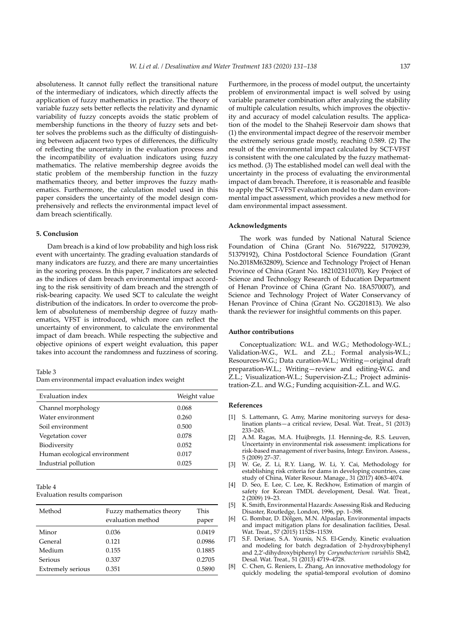absoluteness. It cannot fully reflect the transitional nature of the intermediary of indicators, which directly affects the application of fuzzy mathematics in practice. The theory of variable fuzzy sets better reflects the relativity and dynamic variability of fuzzy concepts avoids the static problem of membership functions in the theory of fuzzy sets and better solves the problems such as the difficulty of distinguishing between adjacent two types of differences, the difficulty of reflecting the uncertainty in the evaluation process and the incompatibility of evaluation indicators using fuzzy mathematics. The relative membership degree avoids the static problem of the membership function in the fuzzy mathematics theory, and better improves the fuzzy mathematics. Furthermore, the calculation model used in this paper considers the uncertainty of the model design comprehensively and reflects the environmental impact level of dam breach scientifically.

#### **5. Conclusion**

Dam breach is a kind of low probability and high loss risk event with uncertainty. The grading evaluation standards of many indicators are fuzzy, and there are many uncertainties in the scoring process. In this paper, 7 indicators are selected as the indices of dam breach environmental impact according to the risk sensitivity of dam breach and the strength of risk-bearing capacity. We used SCT to calculate the weight distribution of the indicators. In order to overcome the problem of absoluteness of membership degree of fuzzy mathematics, VFST is introduced, which more can reflect the uncertainty of environment, to calculate the environmental impact of dam breach. While respecting the subjective and objective opinions of expert weight evaluation, this paper takes into account the randomness and fuzziness of scoring.

Table 3

| Dam environmental impact evaluation index weight |  |  |  |
|--------------------------------------------------|--|--|--|
|                                                  |  |  |  |

| Evaluation index             | Weight value |
|------------------------------|--------------|
| Channel morphology           | 0.068        |
| Water environment            | 0.260        |
| Soil environment             | 0.500        |
| Vegetation cover             | 0.078        |
| Biodiversity                 | 0.052        |
| Human ecological environment | 0.017        |
| Industrial pollution         | 0.025        |

Table 4

Evaluation results comparison

| Method                   | Fuzzy mathematics theory<br>evaluation method | This<br>paper |
|--------------------------|-----------------------------------------------|---------------|
|                          |                                               |               |
| Minor                    | 0.036                                         | 0.0419        |
|                          |                                               |               |
| General                  | 0.121                                         | 0.0986        |
|                          |                                               |               |
| Medium                   | 0.155                                         | 0.1885        |
| Serious                  | 0.337                                         | 0.2705        |
|                          |                                               |               |
| <b>Extremely serious</b> | 0.351                                         | 0.5890        |
|                          |                                               |               |

Furthermore, in the process of model output, the uncertainty problem of environmental impact is well solved by using variable parameter combination after analyzing the stability of multiple calculation results, which improves the objectivity and accuracy of model calculation results. The application of the model to the Shaheji Reservoir dam shows that (1) the environmental impact degree of the reservoir member the extremely serious grade mostly, reaching 0.589. (2) The result of the environmental impact calculated by SCT-VFST is consistent with the one calculated by the fuzzy mathematics method. (3) The established model can well deal with the uncertainty in the process of evaluating the environmental impact of dam breach. Therefore, it is reasonable and feasible to apply the SCT-VFST evaluation model to the dam environmental impact assessment, which provides a new method for dam environmental impact assessment.

## **Acknowledgments**

The work was funded by National Natural Science Foundation of China (Grant No. 51679222, 51709239, 51379192), China Postdoctoral Science Foundation (Grant No.2018M632809), Science and Technology Project of Henan Province of China (Grant No. 182102311070), Key Project of Science and Technology Research of Education Department of Henan Province of China (Grant No. 18A570007), and Science and Technology Project of Water Conservancy of Henan Province of China (Grant No. GG201813). We also thank the reviewer for insightful comments on this paper.

#### **Author contributions**

Conceptualization: W.L. and W.G.; Methodology-W.L.; Validation-W.G., W.L. and Z.L.; Formal analysis-W.L.; Resources-W.G.; Data curation-W.L.; Writing—original draft preparation-W.L.; Writing—review and editing-W.G. and Z.L.; Visualization-W.L.; Supervision-Z.L.; Project administration-Z.L. and W.G.; Funding acquisition-Z.L. and W.G.

#### **References**

- [1] S. Lattemann, G. Amy, Marine monitoring surveys for desalination plants—a critical review, Desal. Wat. Treat., 51 (2013) 233–245.
- [2] A.M. Ragas, M.A. Huijbregts, J.I. Henning-de, R.S. Leuven, Uncertainty in environmental risk assessment: implications for risk-based management of river basins, Integr. Environ. Assess., 5 (2009) 27–37.
- [3] W. Ge, Z. Li, R.Y. Liang, W. Li, Y. Cai, Methodology for establishing risk criteria for dams in developing countries, case study of China, Water Resour. Manage., 31 (2017) 4063–4074.
- [4] D. Seo, E. Lee, C. Lee, K. Reckhow, Estimation of margin of safety for Korean TMDL development, Desal. Wat. Treat., 2 (2009) 19–23.
- [5] K. Smith, Environmental Hazards: Assessing Risk and Reducing Disaster, Routledge, London, 1996, pp. 1–398.
- [6] G. Bombar, D. Dölgen, M.N. Alpaslan, Environmental impacts and impact mitigation plans for desalination facilities, Desal. Wat. Treat., 57 (2015) 11528-11539
- [7] S.F. Deriase, S.A. Younis, N.S. El-Gendy, Kinetic evaluation and modeling for batch degradation of 2-hydroxybiphenyl and 2,2′-dihydroxybiphenyl by *Corynebacterium variabilis* Sh42, Desal. Wat. Treat., 51 (2013) 4719–4728.
- [8] C. Chen, G. Reniers, L. Zhang, An innovative methodology for quickly modeling the spatial-temporal evolution of domino